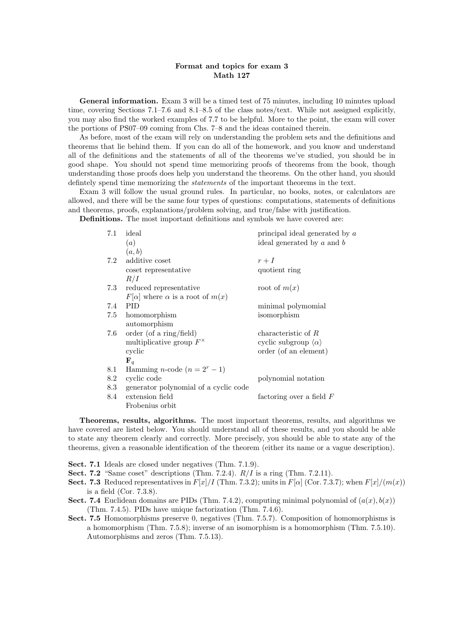## Format and topics for exam 3 Math 127

General information. Exam 3 will be a timed test of 75 minutes, including 10 minutes upload time, covering Sections 7.1–7.6 and 8.1–8.5 of the class notes/text. While not assigned explicitly, you may also find the worked examples of 7.7 to be helpful. More to the point, the exam will cover the portions of PS07–09 coming from Chs. 7–8 and the ideas contained therein.

As before, most of the exam will rely on understanding the problem sets and the definitions and theorems that lie behind them. If you can do all of the homework, and you know and understand all of the definitions and the statements of all of the theorems we've studied, you should be in good shape. You should not spend time memorizing proofs of theorems from the book, though understanding those proofs does help you understand the theorems. On the other hand, you should defintely spend time memorizing the statements of the important theorems in the text.

Exam 3 will follow the usual ground rules. In particular, no books, notes, or calculators are allowed, and there will be the same four types of questions: computations, statements of definitions and theorems, proofs, explanations/problem solving, and true/false with justification.

Definitions. The most important definitions and symbols we have covered are:

| 7.1 | ideal                                          | principal ideal generated by $a$         |
|-----|------------------------------------------------|------------------------------------------|
|     | (a)                                            | ideal generated by $a$ and $b$           |
|     | (a,b)                                          |                                          |
| 7.2 | additive coset                                 | $r+I$                                    |
|     | coset representative                           | quotient ring                            |
|     | R/I                                            |                                          |
| 7.3 | reduced representative                         | root of $m(x)$                           |
|     | $F[\alpha]$ where $\alpha$ is a root of $m(x)$ |                                          |
| 7.4 | <b>PID</b>                                     | minimal polymomial                       |
| 7.5 | homomorphism                                   | isomorphism                              |
|     | automorphism                                   |                                          |
| 7.6 | order (of a ring/field)                        | characteristic of $R$                    |
|     | multiplicative group $F^{\times}$              | cyclic subgroup $\langle \alpha \rangle$ |
|     | cyclic                                         | order (of an element)                    |
|     | ${\bf F}_q$                                    |                                          |
| 8.1 | Hamming <i>n</i> -code $(n = 2r - 1)$          |                                          |
| 8.2 | cyclic code                                    | polynomial notation                      |
| 8.3 | generator polynomial of a cyclic code          |                                          |
| 8.4 | extension field                                | factoring over a field $F$               |
|     | Frobenius orbit                                |                                          |

Theorems, results, algorithms. The most important theorems, results, and algorithms we have covered are listed below. You should understand all of these results, and you should be able to state any theorem clearly and correctly. More precisely, you should be able to state any of the theorems, given a reasonable identification of the theorem (either its name or a vague description).

- Sect. 7.1 Ideals are closed under negatives (Thm. 7.1.9).
- Sect. 7.2 "Same coset" descriptions (Thm. 7.2.4).  $R/I$  is a ring (Thm. 7.2.11).
- **Sect. 7.3** Reduced representatives in  $F[x]/I$  (Thm. 7.3.2); units in  $F[\alpha]$  (Cor. 7.3.7); when  $F[x]/(m(x))$ is a field (Cor. 7.3.8).
- Sect. 7.4 Euclidean domains are PIDs (Thm. 7.4.2), computing minimal polynomial of  $(a(x), b(x))$ (Thm. 7.4.5). PIDs have unique factorization (Thm. 7.4.6).
- Sect. 7.5 Homomorphisms preserve 0, negatives (Thm. 7.5.7). Composition of homomorphisms is a homomorphism (Thm. 7.5.8); inverse of an isomorphism is a homomorphism (Thm. 7.5.10). Automorphisms and zeros (Thm. 7.5.13).